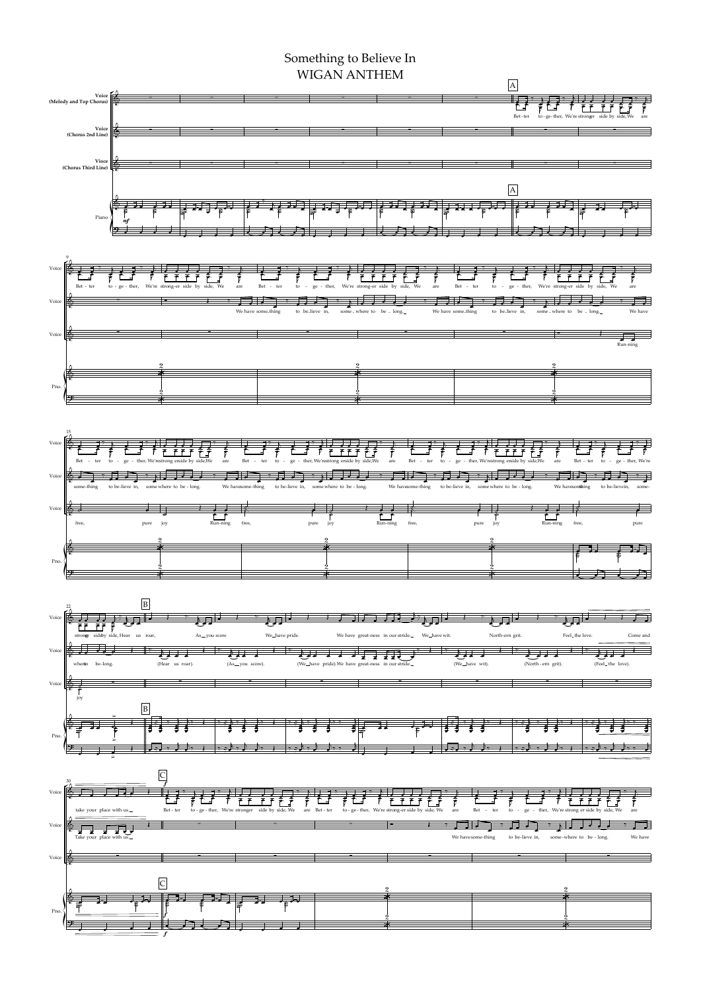## WIGAN ANTHEM

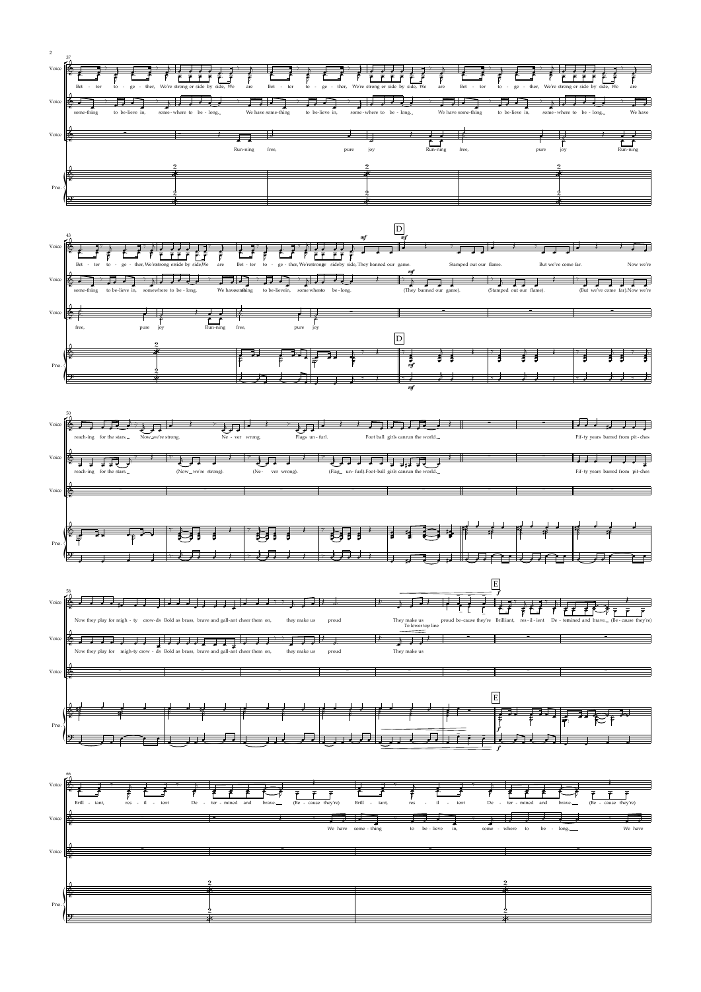Voice









۳

 $\sqrt{\Theta}$